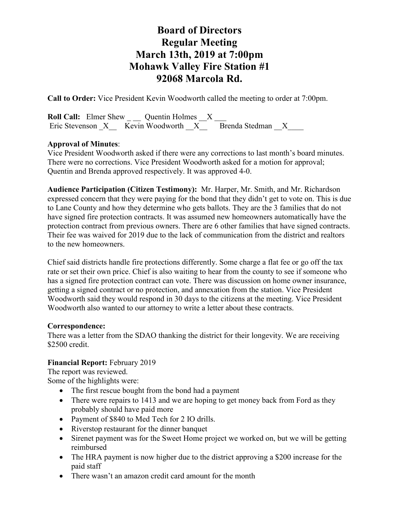**Call to Order:** Vice President Kevin Woodworth called the meeting to order at 7:00pm.

|  | <b>Roll Call:</b> Elmer Shew Quentin Holmes X |  |                                                     |  |
|--|-----------------------------------------------|--|-----------------------------------------------------|--|
|  |                                               |  | Eric Stevenson X Kevin Woodworth X Brenda Stedman X |  |

## **Approval of Minutes**:

Vice President Woodworth asked if there were any corrections to last month's board minutes. There were no corrections. Vice President Woodworth asked for a motion for approval; Quentin and Brenda approved respectively. It was approved 4-0.

**Audience Participation (Citizen Testimony):** Mr. Harper, Mr. Smith, and Mr. Richardson expressed concern that they were paying for the bond that they didn't get to vote on. This is due to Lane County and how they determine who gets ballots. They are the 3 families that do not have signed fire protection contracts. It was assumed new homeowners automatically have the protection contract from previous owners. There are 6 other families that have signed contracts. Their fee was waived for 2019 due to the lack of communication from the district and realtors to the new homeowners.

Chief said districts handle fire protections differently. Some charge a flat fee or go off the tax rate or set their own price. Chief is also waiting to hear from the county to see if someone who has a signed fire protection contract can vote. There was discussion on home owner insurance, getting a signed contract or no protection, and annexation from the station. Vice President Woodworth said they would respond in 30 days to the citizens at the meeting. Vice President Woodworth also wanted to our attorney to write a letter about these contracts.

## **Correspondence:**

There was a letter from the SDAO thanking the district for their longevity. We are receiving \$2500 credit.

## **Financial Report:** February 2019

The report was reviewed.

Some of the highlights were:

- The first rescue bought from the bond had a payment
- There were repairs to 1413 and we are hoping to get money back from Ford as they probably should have paid more
- Payment of \$840 to Med Tech for 2 IO drills.
- Riverstop restaurant for the dinner banquet
- Sirenet payment was for the Sweet Home project we worked on, but we will be getting reimbursed
- The HRA payment is now higher due to the district approving a \$200 increase for the paid staff
- There wasn't an amazon credit card amount for the month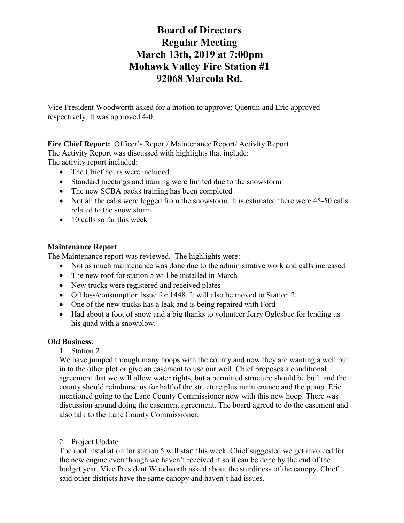Vice President Woodworth asked for a motion to approve; Quentin and Eric approved respectively. It was approved 4-0.

**Fire Chief Report:** Officer's Report/ Maintenance Report/ Activity Report The Activity Report was discussed with highlights that include:

The activity report included:

- The Chief hours were included.
- Standard meetings and training were limited due to the snowstorm
- The new SCBA packs training has been completed
- Not all the calls were logged from the snowstorm. It is estimated there were 45-50 calls related to the snow storm
- 10 calls so far this week

## **Maintenance Report**

The Maintenance report was reviewed. The highlights were:

- Not as much maintenance was done due to the administrative work and calls increased
- The new roof for station 5 will be installed in March
- New trucks were registered and received plates
- Oil loss/consumption issue for 1448. It will also be moved to Station 2.
- One of the new trucks has a leak and is being repaired with Ford
- Had about a foot of snow and a big thanks to volunteer Jerry Oglesbee for lending us his quad with a snowplow.

## **Old Business**:

1. Station 2

We have jumped through many hoops with the county and now they are wanting a well put in to the other plot or give an easement to use our well. Chief proposes a conditional agreement that we will allow water rights, but a permitted structure should be built and the county should reimburse us for half of the structure plus maintenance and the pump. Eric mentioned going to the Lane County Commissioner now with this new hoop. There was discussion around doing the easement agreement. The board agreed to do the easement and also talk to the Lane County Commissioner.

## 2. Project Update

The roof installation for station 5 will start this week. Chief suggested we get invoiced for the new engine even though we haven't received it so it can be done by the end of the budget year. Vice President Woodworth asked about the sturdiness of the canopy. Chief said other districts have the same canopy and haven't had issues.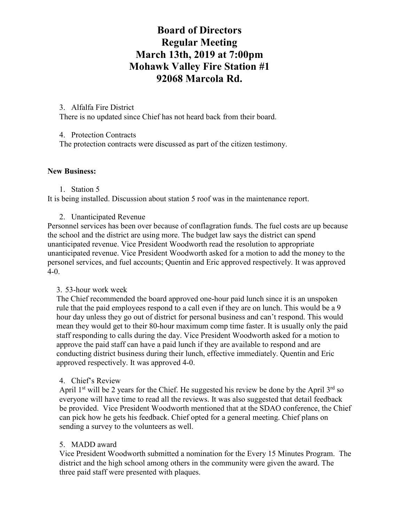#### 3. Alfalfa Fire District

There is no updated since Chief has not heard back from their board.

#### 4. Protection Contracts

The protection contracts were discussed as part of the citizen testimony.

#### **New Business:**

#### 1. Station 5

It is being installed. Discussion about station 5 roof was in the maintenance report.

#### 2. Unanticipated Revenue

Personnel services has been over because of conflagration funds. The fuel costs are up because the school and the district are using more. The budget law says the district can spend unanticipated revenue. Vice President Woodworth read the resolution to appropriate unanticipated revenue. Vice President Woodworth asked for a motion to add the money to the personel services, and fuel accounts; Quentin and Eric approved respectively. It was approved 4-0.

## 3. 53-hour work week

The Chief recommended the board approved one-hour paid lunch since it is an unspoken rule that the paid employees respond to a call even if they are on lunch. This would be a 9 hour day unless they go out of district for personal business and can't respond. This would mean they would get to their 80-hour maximum comp time faster. It is usually only the paid staff responding to calls during the day. Vice President Woodworth asked for a motion to approve the paid staff can have a paid lunch if they are available to respond and are conducting district business during their lunch, effective immediately. Quentin and Eric approved respectively. It was approved 4-0.

## 4. Chief's Review

April  $1<sup>st</sup>$  will be 2 years for the Chief. He suggested his review be done by the April  $3<sup>rd</sup>$  so everyone will have time to read all the reviews. It was also suggested that detail feedback be provided. Vice President Woodworth mentioned that at the SDAO conference, the Chief can pick how he gets his feedback. Chief opted for a general meeting. Chief plans on sending a survey to the volunteers as well.

## 5. MADD award

Vice President Woodworth submitted a nomination for the Every 15 Minutes Program. The district and the high school among others in the community were given the award. The three paid staff were presented with plaques.